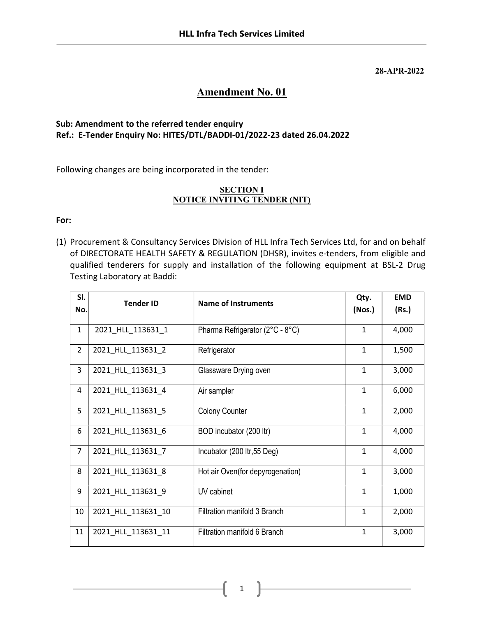#### 28-APR-2022

# Amendment No. 01

## Sub: Amendment to the referred tender enquiry Ref.: E-Tender Enquiry No: HITES/DTL/BADDI-01/2022-23 dated 26.04.2022

Following changes are being incorporated in the tender:

### **SECTION I** NOTICE INVITING TENDER (NIT)

#### For:

(1) Procurement & Consultancy Services Division of HLL Infra Tech Services Ltd, for and on behalf of DIRECTORATE HEALTH SAFETY & REGULATION (DHSR), invites e-tenders, from eligible and qualified tenderers for supply and installation of the following equipment at BSL-2 Drug Testing Laboratory at Baddi:

| SI.            | <b>Tender ID</b>   | Name of Instruments              | Qty.         | <b>EMD</b> |
|----------------|--------------------|----------------------------------|--------------|------------|
| No.            |                    |                                  | (Nos.)       | (Rs.)      |
| $\mathbf{1}$   | 2021_HLL_113631_1  | Pharma Refrigerator (2°C - 8°C)  | $\mathbf{1}$ | 4,000      |
| $\overline{2}$ | 2021_HLL_113631_2  | Refrigerator                     | $\mathbf{1}$ | 1,500      |
| 3              | 2021_HLL_113631_3  | Glassware Drying oven            | $\mathbf{1}$ | 3,000      |
| 4              | 2021_HLL_113631_4  | Air sampler                      | $\mathbf{1}$ | 6,000      |
| 5              | 2021_HLL_113631_5  | <b>Colony Counter</b>            | $\mathbf{1}$ | 2,000      |
| 6              | 2021_HLL_113631_6  | BOD incubator (200 ltr)          | $\mathbf{1}$ | 4,000      |
| $\overline{7}$ | 2021_HLL_113631_7  | Incubator (200 ltr, 55 Deg)      | 1            | 4,000      |
| 8              | 2021_HLL_113631_8  | Hot air Oven(for depyrogenation) | $\mathbf{1}$ | 3,000      |
| 9              | 2021_HLL_113631_9  | UV cabinet                       | $\mathbf{1}$ | 1,000      |
| 10             | 2021_HLL_113631_10 | Filtration manifold 3 Branch     | $\mathbf{1}$ | 2,000      |
| 11             | 2021_HLL_113631_11 | Filtration manifold 6 Branch     | $\mathbf{1}$ | 3,000      |

1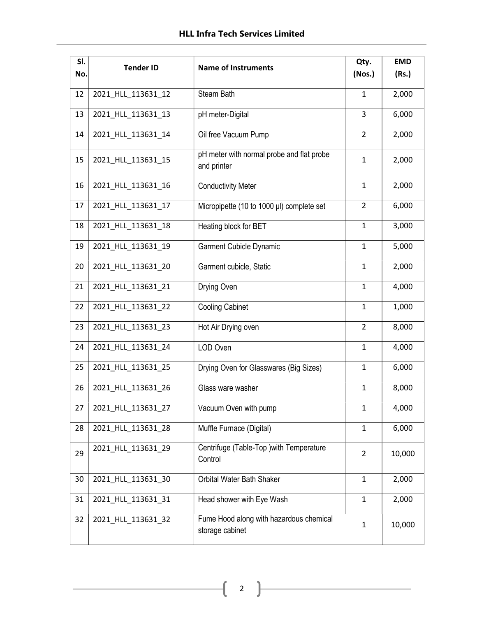| SI.<br>No. | <b>Tender ID</b>   | <b>Name of Instruments</b>                                 | Qty.<br>(Nos.) | <b>EMD</b><br>(Rs.) |
|------------|--------------------|------------------------------------------------------------|----------------|---------------------|
|            |                    |                                                            |                |                     |
| 12         | 2021_HLL_113631_12 | Steam Bath                                                 | $\mathbf{1}$   | 2,000               |
| 13         | 2021_HLL_113631_13 | pH meter-Digital                                           | 3              | 6,000               |
| 14         | 2021_HLL_113631_14 | Oil free Vacuum Pump                                       | $\overline{2}$ | 2,000               |
| 15         | 2021_HLL_113631_15 | pH meter with normal probe and flat probe<br>and printer   | $\mathbf{1}$   | 2,000               |
| 16         | 2021_HLL_113631_16 | <b>Conductivity Meter</b>                                  | $\mathbf{1}$   | 2,000               |
| 17         | 2021_HLL_113631_17 | Micropipette (10 to 1000 µl) complete set                  | $\overline{2}$ | 6,000               |
| 18         | 2021_HLL_113631_18 | Heating block for BET                                      | $\mathbf{1}$   | 3,000               |
| 19         | 2021_HLL_113631_19 | <b>Garment Cubicle Dynamic</b>                             | $\mathbf{1}$   | 5,000               |
| 20         | 2021_HLL_113631_20 | Garment cubicle, Static                                    | $\mathbf{1}$   | 2,000               |
| 21         | 2021_HLL_113631_21 | Drying Oven                                                | $\mathbf{1}$   | 4,000               |
| 22         | 2021_HLL_113631_22 | <b>Cooling Cabinet</b>                                     | $\mathbf{1}$   | 1,000               |
| 23         | 2021_HLL_113631_23 | Hot Air Drying oven                                        | $\overline{2}$ | 8,000               |
| 24         | 2021_HLL_113631_24 | LOD Oven                                                   | $\mathbf{1}$   | 4,000               |
| 25         | 2021_HLL_113631_25 | Drying Oven for Glasswares (Big Sizes)                     | $\mathbf{1}$   | 6,000               |
| 26         | 2021_HLL_113631_26 | Glass ware washer                                          | $\mathbf{1}$   | 8,000               |
| 27         | 2021 HLL 113631 27 | Vacuum Oven with pump                                      | $\mathbf{1}$   | 4,000               |
| 28         | 2021_HLL_113631_28 | Muffle Furnace (Digital)                                   | $\mathbf{1}$   | 6,000               |
| 29         | 2021_HLL_113631_29 | Centrifuge (Table-Top ) with Temperature<br>Control        | $\overline{2}$ | 10,000              |
| 30         | 2021_HLL_113631_30 | Orbital Water Bath Shaker                                  | $\mathbf{1}$   | 2,000               |
| 31         | 2021_HLL_113631_31 | Head shower with Eye Wash                                  | $\mathbf{1}$   | 2,000               |
| 32         | 2021_HLL_113631_32 | Fume Hood along with hazardous chemical<br>storage cabinet | $\mathbf{1}$   | 10,000              |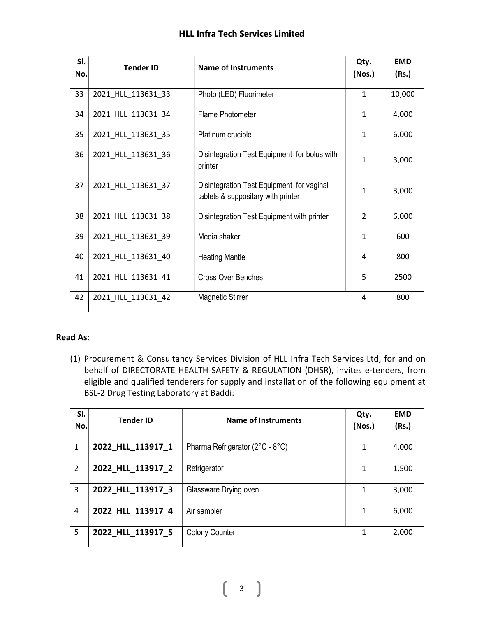| SI.<br>No. | <b>Tender ID</b>   | <b>Name of Instruments</b>                                                      | Qty.<br>(Nos.) | <b>EMD</b><br>(Rs.) |
|------------|--------------------|---------------------------------------------------------------------------------|----------------|---------------------|
| 33         | 2021_HLL_113631_33 | Photo (LED) Fluorimeter                                                         | $\mathbf{1}$   | 10,000              |
| 34         | 2021_HLL_113631_34 | Flame Photometer                                                                | $\mathbf{1}$   | 4,000               |
| 35         | 2021_HLL_113631_35 | Platinum crucible                                                               | $\mathbf{1}$   | 6,000               |
| 36         | 2021_HLL_113631_36 | Disintegration Test Equipment for bolus with<br>printer                         | $\mathbf{1}$   | 3,000               |
| 37         | 2021_HLL_113631_37 | Disintegration Test Equipment for vaginal<br>tablets & suppositary with printer | $\mathbf{1}$   | 3,000               |
| 38         | 2021_HLL_113631_38 | Disintegration Test Equipment with printer                                      | $\mathcal{P}$  | 6,000               |
| 39         | 2021_HLL_113631_39 | Media shaker                                                                    | $\mathbf{1}$   | 600                 |
| 40         | 2021_HLL_113631_40 | <b>Heating Mantle</b>                                                           | 4              | 800                 |
| 41         | 2021 HLL 113631 41 | <b>Cross Over Benches</b>                                                       | 5              | 2500                |
| 42         | 2021 HLL 113631 42 | Magnetic Stirrer                                                                | 4              | 800                 |

#### Read As:

(1) Procurement & Consultancy Services Division of HLL Infra Tech Services Ltd, for and on behalf of DIRECTORATE HEALTH SAFETY & REGULATION (DHSR), invites e-tenders, from eligible and qualified tenderers for supply and installation of the following equipment at BSL-2 Drug Testing Laboratory at Baddi:

| SI.<br>No.     | <b>Tender ID</b>  | Name of Instruments             | Qty.<br>(Nos.) | <b>EMD</b><br>(Rs.) |
|----------------|-------------------|---------------------------------|----------------|---------------------|
| 1              | 2022_HLL_113917_1 | Pharma Refrigerator (2°C - 8°C) | 1              | 4,000               |
| $\overline{2}$ | 2022_HLL_113917_2 | Refrigerator                    | 1              | 1,500               |
| 3              | 2022_HLL_113917_3 | Glassware Drying oven           | 1              | 3,000               |
| $\overline{4}$ | 2022 HLL 113917 4 | Air sampler                     | $\mathbf{1}$   | 6,000               |
| 5              | 2022_HLL_113917_5 | <b>Colony Counter</b>           | 1              | 2,000               |

3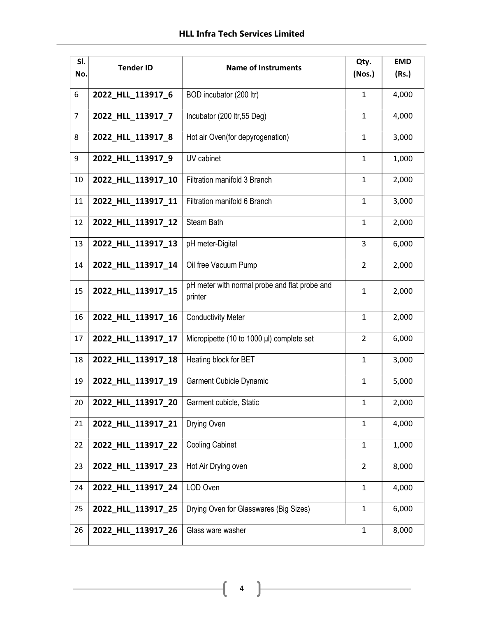| SI.<br>No.     | <b>Tender ID</b>   | <b>Name of Instruments</b>                               | Qty.<br>(Nos.) | <b>EMD</b><br>(Rs.) |
|----------------|--------------------|----------------------------------------------------------|----------------|---------------------|
| 6              | 2022_HLL_113917_6  | BOD incubator (200 ltr)                                  | $\mathbf{1}$   | 4,000               |
| $\overline{7}$ | 2022_HLL_113917_7  | Incubator (200 ltr, 55 Deg)                              | $\mathbf{1}$   | 4,000               |
| 8              | 2022_HLL_113917_8  | Hot air Oven(for depyrogenation)                         | $\mathbf{1}$   | 3,000               |
| 9              | 2022 HLL 113917 9  | UV cabinet                                               | $\mathbf{1}$   | 1,000               |
| 10             | 2022_HLL_113917_10 | Filtration manifold 3 Branch                             | $\mathbf{1}$   | 2,000               |
| 11             | 2022_HLL_113917_11 | Filtration manifold 6 Branch                             | $\mathbf{1}$   | 3,000               |
| 12             | 2022_HLL_113917_12 | Steam Bath                                               | $\mathbf{1}$   | 2,000               |
| 13             | 2022 HLL 113917 13 | pH meter-Digital                                         | 3              | 6,000               |
| 14             | 2022_HLL_113917_14 | Oil free Vacuum Pump                                     | $\overline{2}$ | 2,000               |
| 15             | 2022_HLL_113917_15 | pH meter with normal probe and flat probe and<br>printer | $\mathbf{1}$   | 2,000               |
| 16             | 2022_HLL_113917_16 | <b>Conductivity Meter</b>                                | $\mathbf{1}$   | 2,000               |
| 17             | 2022_HLL_113917_17 | Micropipette (10 to 1000 µl) complete set                | $\overline{2}$ | 6,000               |
| 18             | 2022_HLL_113917_18 | Heating block for BET                                    | $\mathbf{1}$   | 3,000               |
| 19             | 2022_HLL_113917_19 | <b>Garment Cubicle Dynamic</b>                           | $\mathbf{1}$   | 5,000               |
| 20             | 2022 HLL_113917_20 | Garment cubicle, Static                                  | 1              | 2,000               |
| 21             | 2022_HLL_113917_21 | Drying Oven                                              | $\mathbf{1}$   | 4,000               |
| 22             | 2022 HLL 113917 22 | <b>Cooling Cabinet</b>                                   | $\mathbf{1}$   | 1,000               |
| 23             | 2022 HLL 113917 23 | Hot Air Drying oven                                      | $\overline{2}$ | 8,000               |
| 24             | 2022_HLL_113917_24 | LOD Oven                                                 | $\mathbf{1}$   | 4,000               |
| 25             | 2022_HLL_113917_25 | Drying Oven for Glasswares (Big Sizes)                   | $\mathbf{1}$   | 6,000               |
| 26             | 2022_HLL_113917_26 | Glass ware washer                                        | $\mathbf{1}$   | 8,000               |

 $\begin{pmatrix} 4 \end{pmatrix}$